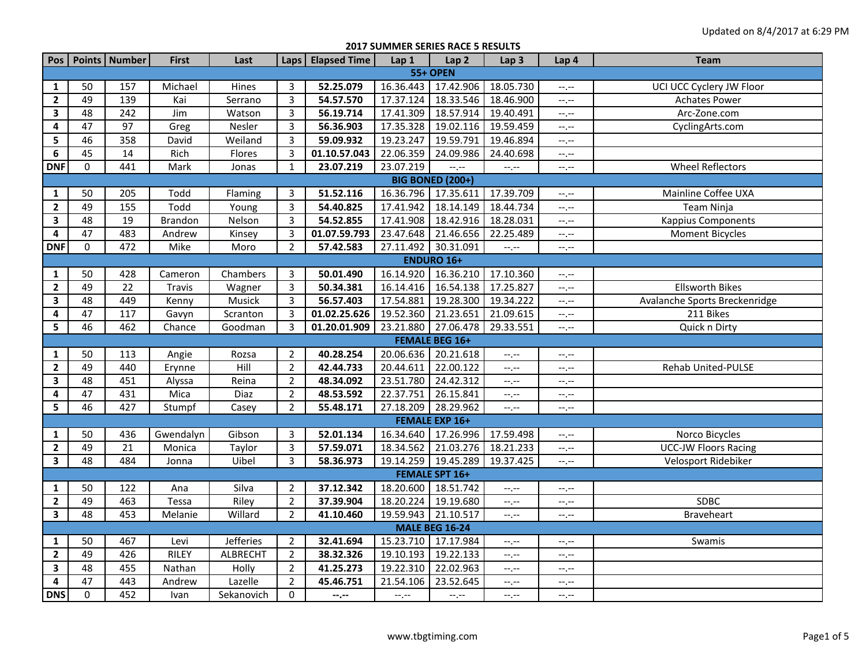**2017 SUMMER SERIES RACE 5 RESULTS**

| Pos                     |                         | Points   Number  | <b>First</b>   | Last            | <b>Laps</b>    | <b>Elapsed Time</b> | Lap 1     | Lap <sub>2</sub>            | Lap <sub>3</sub> | Lap 4            | <b>Team</b>                   |  |
|-------------------------|-------------------------|------------------|----------------|-----------------|----------------|---------------------|-----------|-----------------------------|------------------|------------------|-------------------------------|--|
| <b>55+ OPEN</b>         |                         |                  |                |                 |                |                     |           |                             |                  |                  |                               |  |
| 1                       | 50                      | 157              | Michael        | Hines           | 3              | 52.25.079           | 16.36.443 | 17.42.906                   | 18.05.730        | $--, --$         | UCI UCC Cyclery JW Floor      |  |
| $\mathbf{2}$            | 49                      | 139              | Kai            | Serrano         | $\overline{3}$ | 54.57.570           | 17.37.124 | 18.33.546                   | 18.46.900        | $-1$ .           | <b>Achates Power</b>          |  |
| $\overline{\mathbf{3}}$ | 48                      | $\overline{242}$ | Jim            | Watson          | $\overline{3}$ | 56.19.714           | 17.41.309 | 18.57.914                   | 19.40.491        | $-1, -1$         | Arc-Zone.com                  |  |
| $\pmb{4}$               | 47                      | 97               | Greg           | Nesler          | $\overline{3}$ | 56.36.903           | 17.35.328 | 19.02.116                   | 19.59.459        | $-1, -1$         | CyclingArts.com               |  |
| 5                       | 46                      | 358              | David          | Weiland         | 3              | 59.09.932           | 19.23.247 | 19.59.791                   | 19.46.894        | $-1, -1$         |                               |  |
| 6                       | 45                      | 14               | Rich           | Flores          | 3              | 01.10.57.043        | 22.06.359 | 24.09.986                   | 24.40.698        | $-1$ , $-1$      |                               |  |
| <b>DNF</b>              | 0                       | 441              | Mark           | Jonas           | $\mathbf{1}$   | 23.07.219           | 23.07.219 | $-1, -1$                    | $-1 - 1 - 1 = 0$ | $--, --$         | <b>Wheel Reflectors</b>       |  |
|                         | <b>BIG BONED (200+)</b> |                  |                |                 |                |                     |           |                             |                  |                  |                               |  |
| 1                       | 50                      | 205              | Todd           | Flaming         | 3              | 51.52.116           | 16.36.796 | 17.35.611                   | 17.39.709        | $--, --$         | Mainline Coffee UXA           |  |
| $\overline{2}$          | 49                      | 155              | Todd           | Young           | $\overline{3}$ | 54.40.825           | 17.41.942 | 18.14.149                   | 18.44.734        | $-1, -1$         | Team Ninja                    |  |
| $\mathbf{3}$            | 48                      | 19               | <b>Brandon</b> | Nelson          | $\overline{3}$ | 54.52.855           | 17.41.908 | 18.42.916                   | 18.28.031        | $-1$ , $-1$      | <b>Kappius Components</b>     |  |
| $\pmb{4}$               | 47                      | 483              | Andrew         | Kinsey          | $\overline{3}$ | 01.07.59.793        | 23.47.648 | 21.46.656                   | 22.25.489        | $-1, -1$         | <b>Moment Bicycles</b>        |  |
| <b>DNF</b>              | 0                       | 472              | Mike           | Moro            | $\overline{2}$ | 57.42.583           | 27.11.492 | 30.31.091                   |                  | $-1$ . $-1$      |                               |  |
|                         | <b>ENDURO 16+</b>       |                  |                |                 |                |                     |           |                             |                  |                  |                               |  |
| $\mathbf{1}$            | 50                      | 428              | Cameron        | Chambers        | 3              | 50.01.490           | 16.14.920 | 16.36.210                   | 17.10.360        | $-1$ , $-1$      |                               |  |
| $\mathbf{2}$            | 49                      | 22               | <b>Travis</b>  | Wagner          | $\overline{3}$ | 50.34.381           | 16.14.416 | 16.54.138                   | 17.25.827        | $-1, -1$         | <b>Ellsworth Bikes</b>        |  |
| 3                       | 48                      | 449              | Kenny          | Musick          | $\overline{3}$ | 56.57.403           | 17.54.881 | 19.28.300                   | 19.34.222        | $-1$ , $-1$      | Avalanche Sports Breckenridge |  |
| 4                       | 47                      | 117              | Gavyn          | Scranton        | $\overline{3}$ | 01.02.25.626        | 19.52.360 | 21.23.651                   | 21.09.615        | $--, --$         | 211 Bikes                     |  |
| 5                       | 46                      | 462              | Chance         | Goodman         | $\overline{3}$ | 01.20.01.909        | 23.21.880 | 27.06.478                   | 29.33.551        | $-1, -1$         | Quick n Dirty                 |  |
|                         |                         |                  |                |                 |                |                     |           | <b>FEMALE BEG 16+</b>       |                  |                  |                               |  |
| 1                       | 50                      | 113              | Angie          | Rozsa           | $\overline{2}$ | 40.28.254           | 20.06.636 | 20.21.618                   | $-1, -1$         | $-1, -1$         |                               |  |
| $\mathbf{2}$            | 49                      | 440              | Erynne         | Hill            | $\overline{2}$ | 42.44.733           | 20.44.611 | 22.00.122                   | $-1, -1$         | $-1 - 1 - 1 = 0$ | Rehab United-PULSE            |  |
| 3                       | 48                      | 451              | Alyssa         | Reina           | $\overline{2}$ | 48.34.092           | 23.51.780 | 24.42.312                   | $-1, -1$         | --.--            |                               |  |
| 4                       | 47                      | 431              | Mica           | Diaz            | $\overline{2}$ | 48.53.592           | 22.37.751 | 26.15.841                   | $-1, -1$         | $-1$ , $-1$      |                               |  |
| 5                       | 46                      | 427              | Stumpf         | Casey           | $\overline{2}$ | 55.48.171           | 27.18.209 | 28.29.962                   | $-1$ , $-1$      | $-1, -1$         |                               |  |
|                         |                         |                  |                |                 |                |                     |           | <b>FEMALE EXP 16+</b>       |                  |                  |                               |  |
| 1                       | 50                      | 436              | Gwendalyn      | Gibson          | 3              | 52.01.134           | 16.34.640 | 17.26.996                   | 17.59.498        | $-1$ , $-1$      | Norco Bicycles                |  |
| $\overline{2}$          | 49                      | 21               | Monica         | Taylor          | $\overline{3}$ | 57.59.071           | 18.34.562 | 21.03.276                   | 18.21.233        | $-1, -1$         | <b>UCC-JW Floors Racing</b>   |  |
| $\mathbf{3}$            | 48                      | 484              | Jonna          | Uibel           | $\overline{3}$ | 58.36.973           | 19.14.259 | 19.45.289 19.37.425         |                  | $-1$ .           | Velosport Ridebiker           |  |
|                         |                         |                  |                |                 |                |                     |           | <b>FEMALE SPT 16+</b>       |                  |                  |                               |  |
| $\mathbf{1}$            | 50                      | 122              | Ana            | Silva           | $\overline{2}$ | 37.12.342           | 18.20.600 | 18.51.742                   | $-1, -1$         | $-1$ , $-1$      |                               |  |
| $\mathbf{2}$            | 49                      | 463              | Tessa          | Riley           | $\overline{2}$ | 37.39.904           | 18.20.224 | 19.19.680                   | $-1, -1$         | $-1$ , $-1$      | SDBC                          |  |
| 3                       | 48                      | 453              | Melanie        | Willard         | $\overline{2}$ | 41.10.460           | 19.59.943 | 21.10.517                   | $-1, -1$         | $-1 - 1 - 1 = 0$ | Braveheart                    |  |
|                         |                         |                  |                |                 |                |                     |           | <b>MALE BEG 16-24</b>       |                  |                  |                               |  |
| $\mathbf{1}$            | 50                      | 467              | Levi           | Jefferies       | $\overline{2}$ | 32.41.694           | 15.23.710 | 17.17.984                   | $-1, -1$         | $-1$ , $-1$      | Swamis                        |  |
| $\mathbf{2}$            | 49                      | 426              | <b>RILEY</b>   | <b>ALBRECHT</b> | $\overline{2}$ | 38.32.326           | 19.10.193 | 19.22.133                   | $-1, -1$         | $-1, -1$         |                               |  |
| 3                       | 48                      | 455              | Nathan         | Holly           | $\overline{2}$ | 41.25.273           | 19.22.310 | 22.02.963                   | $-1, -1$         | $--, --$         |                               |  |
| 4                       | 47                      | 443              | Andrew         | Lazelle         | $\overline{2}$ | 45.46.751           | 21.54.106 | 23.52.645                   | $-1, -1$         | $--, --$         |                               |  |
| <b>DNS</b>              | $\Omega$                | 452              | Ivan           | Sekanovich      | 0              | $- - - - -$         | $-1, -1$  | $\leftarrow$ , $\leftarrow$ | $-1, -1$         | $-1, -1$         |                               |  |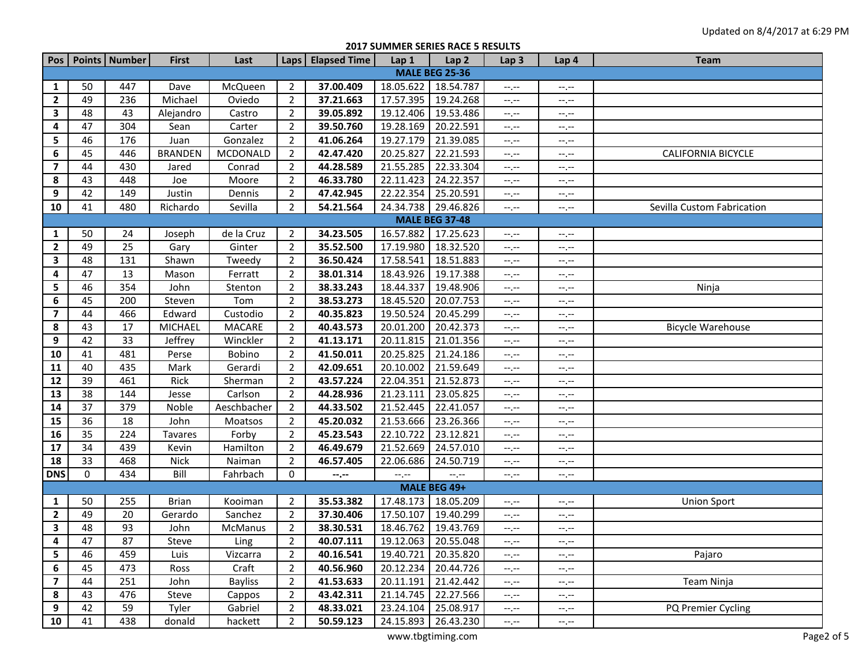## **2017 SUMMER SERIES RACE 5 RESULTS**

| Pos                     |          | Points Number | <b>First</b>   | Last           |                | Laps   Elapsed Time | Lap 1     | Lap <sub>2</sub>      | Lap <sub>3</sub>            | Lap 4       | <b>Team</b>                |  |
|-------------------------|----------|---------------|----------------|----------------|----------------|---------------------|-----------|-----------------------|-----------------------------|-------------|----------------------------|--|
| <b>MALE BEG 25-36</b>   |          |               |                |                |                |                     |           |                       |                             |             |                            |  |
| 1                       | 50       | 447           | Dave           | McQueen        | $\overline{2}$ | 37.00.409           | 18.05.622 | 18.54.787             | $-1, -1$                    | $-1, -1$    |                            |  |
| $\overline{2}$          | 49       | 236           | Michael        | Oviedo         | $\overline{2}$ | 37.21.663           | 17.57.395 | 19.24.268             | $-1$                        | --.--       |                            |  |
| 3                       | 48       | 43            | Alejandro      | Castro         | $\overline{2}$ | 39.05.892           | 19.12.406 | 19.53.486             | $-1$                        | --.--       |                            |  |
| 4                       | 47       | 304           | Sean           | Carter         | $\overline{2}$ | 39.50.760           | 19.28.169 | 20.22.591             | $-1, -1$                    | --.--       |                            |  |
| 5                       | 46       | 176           | Juan           | Gonzalez       | $\overline{2}$ | 41.06.264           | 19.27.179 | 21.39.085             | $-1$                        | --.--       |                            |  |
| 6                       | 45       | 446           | <b>BRANDEN</b> | MCDONALD       | $\overline{2}$ | 42.47.420           | 20.25.827 | 22.21.593             | $\leftarrow$ , $\leftarrow$ | $-1$ . $-1$ | <b>CALIFORNIA BICYCLE</b>  |  |
| 7                       | 44       | 430           | Jared          | Conrad         | $\overline{2}$ | 44.28.589           | 21.55.285 | 22.33.304             | $-1, -1$                    | --.--       |                            |  |
| 8                       | 43       | 448           | Joe            | Moore          | $\overline{2}$ | 46.33.780           | 22.11.423 | 24.22.357             | $-1, -1$                    | --.--       |                            |  |
| 9                       | 42       | 149           | Justin         | Dennis         | $\overline{2}$ | 47.42.945           | 22.22.354 | 25.20.591             | $-1, -1$                    | --.--       |                            |  |
| 10                      | 41       | 480           | Richardo       | Sevilla        | $\overline{2}$ | 54.21.564           | 24.34.738 | 29.46.826             | $-1, -1$                    | $-1, -1$    | Sevilla Custom Fabrication |  |
|                         |          |               |                |                |                |                     |           | <b>MALE BEG 37-48</b> |                             |             |                            |  |
| 1                       | 50       | 24            | Joseph         | de la Cruz     | $\overline{2}$ | 34.23.505           | 16.57.882 | 17.25.623             | $-1$                        | $-1, -1$    |                            |  |
| $\overline{2}$          | 49       | 25            | Gary           | Ginter         | $\overline{2}$ | 35.52.500           | 17.19.980 | 18.32.520             | $-1, -1$                    | --.--       |                            |  |
| 3                       | 48       | 131           | Shawn          | Tweedy         | $\overline{2}$ | 36.50.424           | 17.58.541 | 18.51.883             | $-1$                        | --.--       |                            |  |
| 4                       | 47       | 13            | Mason          | Ferratt        | $\overline{2}$ | 38.01.314           | 18.43.926 | 19.17.388             | $-1$                        | --.--       |                            |  |
| 5                       | 46       | 354           | John           | Stenton        | $\overline{2}$ | 38.33.243           | 18.44.337 | 19.48.906             | $-1, -1$                    | --.--       | Ninja                      |  |
| 6                       | 45       | 200           | Steven         | Tom            | $\overline{2}$ | 38.53.273           | 18.45.520 | 20.07.753             | $-1$                        | --.--       |                            |  |
| $\overline{\mathbf{z}}$ | 44       | 466           | Edward         | Custodio       | $\overline{2}$ | 40.35.823           | 19.50.524 | 20.45.299             | $\leftarrow$ , $\leftarrow$ | --.--       |                            |  |
| 8                       | 43       | 17            | <b>MICHAEL</b> | <b>MACARE</b>  | $\overline{2}$ | 40.43.573           | 20.01.200 | 20.42.373             | $-1, -1$                    | $-1, -1$    | <b>Bicycle Warehouse</b>   |  |
| 9                       | 42       | 33            | Jeffrey        | Winckler       | $\overline{2}$ | 41.13.171           | 20.11.815 | 21.01.356             | $-1, -1$                    | $-1, -1$    |                            |  |
| 10                      | 41       | 481           | Perse          | Bobino         | $\overline{2}$ | 41.50.011           | 20.25.825 | 21.24.186             | $-1, -1$                    | $-1, -1$    |                            |  |
| 11                      | 40       | 435           | Mark           | Gerardi        | $\overline{2}$ | 42.09.651           | 20.10.002 | 21.59.649             | $-1, -1$                    | $-1, -1$    |                            |  |
| 12                      | 39       | 461           | Rick           | Sherman        | $\overline{2}$ | 43.57.224           | 22.04.351 | 21.52.873             | $-1, -1$                    | $-1, -1$    |                            |  |
| 13                      | 38       | 144           | Jesse          | Carlson        | $\overline{2}$ | 44.28.936           | 21.23.111 | 23.05.825             | $\leftarrow$ , $\leftarrow$ | $-1, -1$    |                            |  |
| 14                      | 37       | 379           | Noble          | Aeschbacher    | $\overline{2}$ | 44.33.502           | 21.52.445 | 22.41.057             | $-1$                        | $-1, -1$    |                            |  |
| 15                      | 36       | 18            | John           | Moatsos        | $\overline{2}$ | 45.20.032           | 21.53.666 | 23.26.366             | $-1$                        | $-1$ . $-1$ |                            |  |
| 16                      | 35       | 224           | Tavares        | Forby          | $\overline{2}$ | 45.23.543           | 22.10.722 | 23.12.821             | $-1$                        | --.--       |                            |  |
| 17                      | 34       | 439           | Kevin          | Hamilton       | $\overline{2}$ | 46.49.679           | 21.52.669 | 24.57.010             | $-1, -1$                    | --.--       |                            |  |
| 18                      | 33       | 468           | <b>Nick</b>    | Naiman         | $\overline{2}$ | 46.57.405           | 22.06.686 | 24.50.719             | $-1, -1$                    | --.--       |                            |  |
| <b>DNS</b>              | $\Omega$ | 434           | Bill           | Fahrbach       | 0              | $-\cdot$ . $-\cdot$ | $-1$      | $-1, -1$              | $-1, -1$                    | $-1$ . $-1$ |                            |  |
|                         |          |               |                |                |                |                     |           | MALE BEG 49+          |                             |             |                            |  |
| 1                       | 50       | 255           | <b>Brian</b>   | Kooiman        | $\overline{2}$ | 35.53.382           | 17.48.173 | 18.05.209             | $-1, -1$                    | --.--       | <b>Union Sport</b>         |  |
| $\overline{2}$          | 49       | 20            | Gerardo        | Sanchez        | $\overline{2}$ | 37.30.406           | 17.50.107 | 19.40.299             | $-1, -1$                    | $-1, -1$    |                            |  |
| 3                       | 48       | 93            | John           | McManus        | $\overline{2}$ | 38.30.531           | 18.46.762 | 19.43.769             | $-1, -1$                    | $-1, -1$    |                            |  |
| 4                       | 47       | 87            | Steve          | $L$ ing        | $2^{\circ}$    | 40.07.111           |           | 19.12.063 20.55.048   | $-1.77$                     | $-1.77$     |                            |  |
| 5                       | 46       | 459           | Luis           | Vizcarra       | $\overline{2}$ | 40.16.541           | 19.40.721 | 20.35.820             | $-1, -1$                    | $-1, -1$    | Pajaro                     |  |
| 6                       | 45       | 473           | Ross           | Craft          | $\overline{2}$ | 40.56.960           | 20.12.234 | 20.44.726             | $-1, -1$                    | $-1, -1$    |                            |  |
| $\overline{\mathbf{z}}$ | 44       | 251           | John           | <b>Bayliss</b> | $\overline{2}$ | 41.53.633           | 20.11.191 | 21.42.442             | $-1, -1$                    | $-1, -1$    | Team Ninja                 |  |
| 8                       | 43       | 476           | Steve          | Cappos         | $\overline{2}$ | 43.42.311           | 21.14.745 | 22.27.566             | $-1, -1$                    | --.--       |                            |  |
| 9                       | 42       | 59            | Tyler          | Gabriel        | $\overline{2}$ | 48.33.021           | 23.24.104 | 25.08.917             | $-1, -1$                    | $-1, -1$    | PQ Premier Cycling         |  |
| 10                      | 41       | 438           | donald         | hackett        | $\overline{2}$ | 50.59.123           | 24.15.893 | 26.43.230             | $-1, -1$                    | $-1, -1$    |                            |  |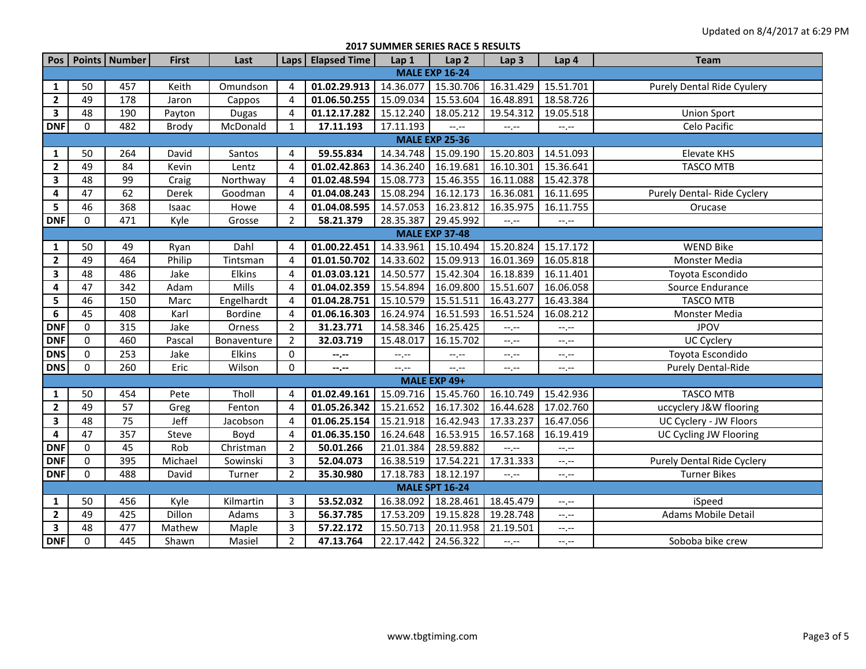| <b>2017 SUMMER SERIES RACE 5 RESULTS</b> |                       |               |              |                |                |                     |                     |                       |                  |             |                                   |  |  |
|------------------------------------------|-----------------------|---------------|--------------|----------------|----------------|---------------------|---------------------|-----------------------|------------------|-------------|-----------------------------------|--|--|
| Pos                                      |                       | Points Number | <b>First</b> | Last           |                | Laps   Elapsed Time | Lap 1               | Lap <sub>2</sub>      | Lap <sub>3</sub> | Lap 4       | <b>Team</b>                       |  |  |
|                                          | <b>MALE EXP 16-24</b> |               |              |                |                |                     |                     |                       |                  |             |                                   |  |  |
| 1                                        | 50                    | 457           | Keith        | Omundson       | 4              | 01.02.29.913        | 14.36.077           | 15.30.706             | 16.31.429        | 15.51.701   | Purely Dental Ride Cyulery        |  |  |
| $\mathbf{2}$                             | 49                    | 178           | Jaron        | Cappos         | 4              | 01.06.50.255        | 15.09.034           | 15.53.604             | 16.48.891        | 18.58.726   |                                   |  |  |
| $\overline{\mathbf{3}}$                  | 48                    | 190           | Payton       | <b>Dugas</b>   | 4              | 01.12.17.282        | 15.12.240           | 18.05.212             | 19.54.312        | 19.05.518   | <b>Union Sport</b>                |  |  |
| <b>DNF</b>                               | $\Omega$              | 482           | <b>Brody</b> | McDonald       | 1              | 17.11.193           | 17.11.193           | $-1$ , $-1$           | $-1, -1$         | $-1$ , $-1$ | Celo Pacific                      |  |  |
| <b>MALE EXP 25-36</b>                    |                       |               |              |                |                |                     |                     |                       |                  |             |                                   |  |  |
| 1                                        | 50                    | 264           | David        | Santos         | 4              | 59.55.834           | 14.34.748           | 15.09.190             | 15.20.803        | 14.51.093   | <b>Elevate KHS</b>                |  |  |
| $\overline{2}$                           | 49                    | 84            | Kevin        | Lentz          | 4              | 01.02.42.863        | 14.36.240           | 16.19.681             | 16.10.301        | 15.36.641   | <b>TASCO MTB</b>                  |  |  |
| $\mathbf{3}$                             | 48                    | 99            | Craig        | Northway       | 4              | 01.02.48.594        | 15.08.773           | 15.46.355             | 16.11.088        | 15.42.378   |                                   |  |  |
| 4                                        | 47                    | 62            | Derek        | Goodman        | 4              | 01.04.08.243        | 15.08.294           | 16.12.173             | 16.36.081        | 16.11.695   | Purely Dental-Ride Cyclery        |  |  |
| 5                                        | 46                    | 368           | Isaac        | Howe           | 4              | 01.04.08.595        | 14.57.053           | 16.23.812             | 16.35.975        | 16.11.755   | Orucase                           |  |  |
| <b>DNF</b>                               | $\mathbf 0$           | 471           | Kyle         | Grosse         | $\overline{2}$ | 58.21.379           | 28.35.387           | 29.45.992             | $-1$ .           | --.--       |                                   |  |  |
| <b>MALE EXP 37-48</b>                    |                       |               |              |                |                |                     |                     |                       |                  |             |                                   |  |  |
| 1                                        | 50                    | 49            | Ryan         | Dahl           | 4              | 01.00.22.451        | 14.33.961           | 15.10.494             | 15.20.824        | 15.17.172   | <b>WEND Bike</b>                  |  |  |
| $\mathbf{2}$                             | 49                    | 464           | Philip       | Tintsman       | $\overline{4}$ | 01.01.50.702        | 14.33.602           | 15.09.913             | 16.01.369        | 16.05.818   | Monster Media                     |  |  |
| 3                                        | 48                    | 486           | Jake         | Elkins         | 4              | 01.03.03.121        | 14.50.577           | 15.42.304             | 16.18.839        | 16.11.401   | Toyota Escondido                  |  |  |
| 4                                        | 47                    | 342           | Adam         | Mills          | 4              | 01.04.02.359        | 15.54.894           | 16.09.800             | 15.51.607        | 16.06.058   | Source Endurance                  |  |  |
| 5                                        | 46                    | 150           | Marc         | Engelhardt     | 4              | 01.04.28.751        | 15.10.579           | 15.51.511             | 16.43.277        | 16.43.384   | <b>TASCO MTB</b>                  |  |  |
| 6                                        | 45                    | 408           | Karl         | <b>Bordine</b> | 4              | 01.06.16.303        | 16.24.974           | 16.51.593             | 16.51.524        | 16.08.212   | Monster Media                     |  |  |
| <b>DNF</b>                               | $\mathbf 0$           | 315           | Jake         | Orness         | $\overline{2}$ | 31.23.771           | 14.58.346           | 16.25.425             | $-1, -1$         | $-1, -1$    | <b>JPOV</b>                       |  |  |
| <b>DNF</b>                               | $\mathbf 0$           | 460           | Pascal       | Bonaventure    | $\overline{2}$ | 32.03.719           | 15.48.017           | 16.15.702             | $-1, -1$         | $-1, -1$    | <b>UC Cyclery</b>                 |  |  |
| <b>DNS</b>                               | $\mathbf 0$           | 253           | Jake         | Elkins         | 0              | --.--               | $-1, -1$            | $-1, -1$              | $-1, -1$         | $-1, -1$    | Toyota Escondido                  |  |  |
| <b>DNS</b>                               | $\Omega$              | 260           | Eric         | Wilson         | 0              | $-2 - 1$            | $-1, -1$            | $-1, -1$              | $-1, -1$         | $-1, -1$    | Purely Dental-Ride                |  |  |
|                                          |                       |               |              |                |                |                     |                     | MALE EXP 49+          |                  |             |                                   |  |  |
| 1                                        | 50                    | 454           | Pete         | Tholl          | 4              | 01.02.49.161        | 15.09.716 15.45.760 |                       | 16.10.749        | 15.42.936   | <b>TASCO MTB</b>                  |  |  |
| $\overline{2}$                           | 49                    | 57            | Greg         | Fenton         | 4              | 01.05.26.342        | 15.21.652           | 16.17.302             | 16.44.628        | 17.02.760   | uccyclery J&W flooring            |  |  |
| $\mathbf{3}$                             | 48                    | 75            | Jeff         | Jacobson       | 4              | 01.06.25.154        | 15.21.918           | 16.42.943             | 17.33.237        | 16.47.056   | UC Cyclery - JW Floors            |  |  |
| 4                                        | 47                    | 357           | Steve        | Boyd           | 4              | 01.06.35.150        | 16.24.648           | 16.53.915             | 16.57.168        | 16.19.419   | UC Cycling JW Flooring            |  |  |
| <b>DNF</b>                               | $\mathbf 0$           | 45            | Rob          | Christman      | $\overline{2}$ | 50.01.266           | 21.01.384           | 28.59.882             | --.--            | $-1, -1$    |                                   |  |  |
| <b>DNF</b>                               | 0                     | 395           | Michael      | Sowinski       | 3              | 52.04.073           | 16.38.519           | 17.54.221             | 17.31.333        | --.--       | <b>Purely Dental Ride Cyclery</b> |  |  |
| <b>DNF</b>                               | $\mathbf 0$           | 488           | David        | Turner         | $\overline{2}$ | 35.30.980           | 17.18.783           | 18.12.197             | $-1, -1$         | $--, --$    | <b>Turner Bikes</b>               |  |  |
|                                          |                       |               |              |                |                |                     |                     | <b>MALE SPT 16-24</b> |                  |             |                                   |  |  |
| 1                                        | 50                    | 456           | Kyle         | Kilmartin      | 3              | 53.52.032           | 16.38.092           | 18.28.461             | 18.45.479        | $-1, -1$    | iSpeed                            |  |  |
| $\overline{2}$                           | 49                    | 425           | Dillon       | Adams          | $\overline{3}$ | 56.37.785           | 17.53.209           | 19.15.828             | 19.28.748        | $-1$        | Adams Mobile Detail               |  |  |
| $\overline{\mathbf{3}}$                  | 48                    | 477           | Mathew       | Maple          | 3              | 57.22.172           | 15.50.713           | 20.11.958             | 21.19.501        | $-1, -1$    |                                   |  |  |
| <b>DNF</b>                               | $\Omega$              | 445           | Shawn        | Masiel         | $\overline{2}$ | 47.13.764           | 22.17.442           | 24.56.322             | $-1$ , $-1$      | $-1$        | Soboba bike crew                  |  |  |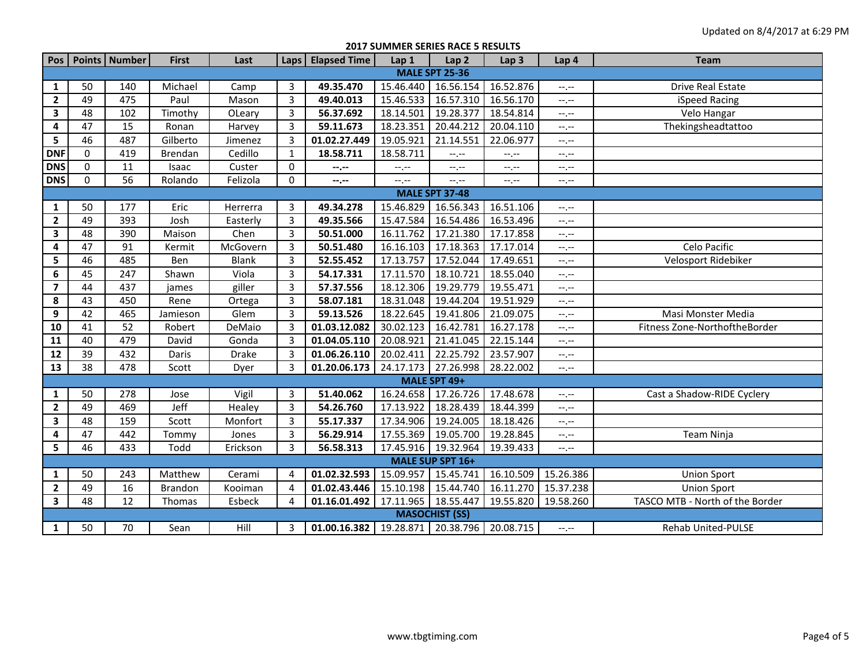**2017 SUMMER SERIES RACE 5 RESULTS**

| Pos                     |                 | Points Number | <b>First</b>   | Last         |                | Laps   Elapsed Time                    | Lap 1     | Lap <sub>2</sub>                | Lap <sub>3</sub> | Lap 4                       | <b>Team</b>                     |  |
|-------------------------|-----------------|---------------|----------------|--------------|----------------|----------------------------------------|-----------|---------------------------------|------------------|-----------------------------|---------------------------------|--|
| <b>MALE SPT 25-36</b>   |                 |               |                |              |                |                                        |           |                                 |                  |                             |                                 |  |
| 1                       | 50              | 140           | Michael        | Camp         | 3              | 49.35.470                              | 15.46.440 | 16.56.154                       | 16.52.876        | $-1$                        | Drive Real Estate               |  |
| $\mathbf{2}$            | 49              | 475           | Paul           | Mason        | $\overline{3}$ | 49.40.013                              | 15.46.533 | 16.57.310                       | 16.56.170        | $-1$ . $-1$                 | iSpeed Racing                   |  |
| $\overline{\mathbf{3}}$ | 48              | 102           | Timothy        | OLeary       | $\overline{3}$ | 56.37.692                              | 18.14.501 | 19.28.377                       | 18.54.814        | $-1$ . $-1$                 | Velo Hangar                     |  |
| 4                       | 47              | 15            | Ronan          | Harvey       | $\overline{3}$ | 59.11.673                              | 18.23.351 | 20.44.212                       | 20.04.110        | $-1$ . $-1$                 | Thekingsheadtattoo              |  |
| 5                       | 46              | 487           | Gilberto       | Jimenez      | $\overline{3}$ | 01.02.27.449                           | 19.05.921 | 21.14.551                       | 22.06.977        | $-1, -1$                    |                                 |  |
| <b>DNF</b>              | $\mathbf 0$     | 419           | Brendan        | Cedillo      | $\mathbf{1}$   | 18.58.711                              | 18.58.711 | $-1$                            | $-1$             | $-1$                        |                                 |  |
| <b>DNS</b>              | $\Omega$        | 11            | Isaac          | Custer       | 0              | $- - - - -$                            | $-1$      | $-1, -1$                        | $-1$             | --.--                       |                                 |  |
| <b>DNS</b>              | 0               | 56            | Rolando        | Felizola     | 0              | $-1$                                   | $-1, -1$  | --.--                           | $-1, -1$         | --.--                       |                                 |  |
| <b>MALE SPT 37-48</b>   |                 |               |                |              |                |                                        |           |                                 |                  |                             |                                 |  |
| 1                       | 50              | 177           | Eric           | Herrerra     | 3              | 49.34.278                              | 15.46.829 | 16.56.343                       | 16.51.106        | $-1$ . $-1$                 |                                 |  |
| $\overline{2}$          | 49              | 393           | Josh           | Easterly     | $\overline{3}$ | 49.35.566                              | 15.47.584 | 16.54.486                       | 16.53.496        | $-1$ , $-1$                 |                                 |  |
| $\mathbf{3}$            | 48              | 390           | Maison         | Chen         | $\overline{3}$ | 50.51.000                              | 16.11.762 | 17.21.380                       | 17.17.858        | $-1, -1$                    |                                 |  |
| 4                       | 47              | 91            | Kermit         | McGovern     | 3              | 50.51.480                              | 16.16.103 | 17.18.363                       | 17.17.014        | $-1$ , $-1$                 | Celo Pacific                    |  |
| 5                       | 46              | 485           | Ben            | <b>Blank</b> | $\overline{3}$ | 52.55.452                              | 17.13.757 | 17.52.044                       | 17.49.651        | $-1, -1$                    | Velosport Ridebiker             |  |
| 6                       | 45              | 247           | Shawn          | Viola        | $\overline{3}$ | 54.17.331                              | 17.11.570 | 18.10.721                       | 18.55.040        | $-1$ , $-1$                 |                                 |  |
| $\overline{\mathbf{z}}$ | 44              | 437           | james          | giller       | $\overline{3}$ | 57.37.556                              | 18.12.306 | 19.29.779                       | 19.55.471        | --.--                       |                                 |  |
| 8                       | 43              | 450           | Rene           | Ortega       | $\overline{3}$ | 58.07.181                              | 18.31.048 | 19.44.204                       | 19.51.929        | --.--                       |                                 |  |
| 9                       | $\overline{42}$ | 465           | Jamieson       | Glem         | $\overline{3}$ | 59.13.526                              | 18.22.645 | 19.41.806                       | 21.09.075        | $-1$                        | Masi Monster Media              |  |
| 10                      | 41              | 52            | Robert         | DeMaio       | $\overline{3}$ | 01.03.12.082                           | 30.02.123 | 16.42.781                       | 16.27.178        | $-$ , $-$                   | Fitness Zone-NorthoftheBorder   |  |
| 11                      | 40              | 479           | David          | Gonda        | $\overline{3}$ | 01.04.05.110                           | 20.08.921 | 21.41.045                       | 22.15.144        | $-1$                        |                                 |  |
| ${\bf 12}$              | 39              | 432           | Daris          | Drake        | 3              | 01.06.26.110                           | 20.02.411 | 22.25.792                       | 23.57.907        | $\leftarrow$ , $\leftarrow$ |                                 |  |
| 13                      | 38              | 478           | Scott          | Dyer         | 3              | 01.20.06.173                           | 24.17.173 | 27.26.998                       | 28.22.002        | $-1, -1$                    |                                 |  |
|                         |                 |               |                |              |                |                                        |           | MALE SPT 49+                    |                  |                             |                                 |  |
| 1                       | 50              | 278           | Jose           | Vigil        | 3              | 51.40.062                              | 16.24.658 | 17.26.726                       | 17.48.678        | $-1, -1$                    | Cast a Shadow-RIDE Cyclery      |  |
| $\mathbf{2}$            | 49              | 469           | Jeff           | Healey       | $\overline{3}$ | 54.26.760                              | 17.13.922 | 18.28.439                       | 18.44.399        | $-1, -1$                    |                                 |  |
| 3                       | 48              | 159           | Scott          | Monfort      | 3              | 55.17.337                              | 17.34.906 | 19.24.005                       | 18.18.426        | $-1$ , $-1$                 |                                 |  |
| 4                       | 47              | 442           | Tommy          | Jones        | $\overline{3}$ | 56.29.914                              | 17.55.369 | 19.05.700                       | 19.28.845        | $-$ , $-$                   | Team Ninja                      |  |
| 5                       | 46              | 433           | Todd           | Erickson     | 3              | 56.58.313                              |           | 17.45.916 19.32.964             | 19.39.433        | $-1, -1$                    |                                 |  |
|                         |                 |               |                |              |                |                                        |           | MALE SUP SPT 16+                |                  |                             |                                 |  |
| 1                       | 50              | 243           | Matthew        | Cerami       | 4              | 01.02.32.593                           | 15.09.957 | 15.45.741                       | 16.10.509        | 15.26.386                   | <b>Union Sport</b>              |  |
| $\mathbf{2}$            | 49              | 16            | <b>Brandon</b> | Kooiman      | 4              | 01.02.43.446                           | 15.10.198 | 15.44.740                       | 16.11.270        | 15.37.238                   | <b>Union Sport</b>              |  |
| $\mathbf{3}$            | 48              | 12            | Thomas         | Esbeck       | 4              | 01.16.01.492                           |           | 17.11.965  18.55.447  19.55.820 |                  | 19.58.260                   | TASCO MTB - North of the Border |  |
|                         |                 |               |                |              |                |                                        |           | <b>MASOCHIST (SS)</b>           |                  |                             |                                 |  |
| $\mathbf{1}$            | 50              | 70            | Sean           | Hill         | 3              | $01.00.16.382$   19.28.871   20.38.796 |           |                                 | 20.08.715        | $-1, -1$                    | <b>Rehab United-PULSE</b>       |  |